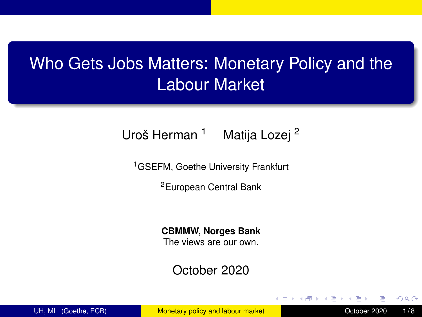# <span id="page-0-0"></span>Who Gets Jobs Matters: Monetary Policy and the Labour Market

#### Uroš Herman<sup>1</sup> Matija Lozej<sup>2</sup>

<sup>1</sup>GSEFM, Goethe University Frankfurt

<sup>2</sup>European Central Bank

#### **CBMMW, Norges Bank**

The views are our own.

#### October 2020

UH, ML (Goethe, ECB) [Monetary policy and labour market](#page-7-0) Correspondence October 2020 1/8

 $\Omega$ 

医骨下的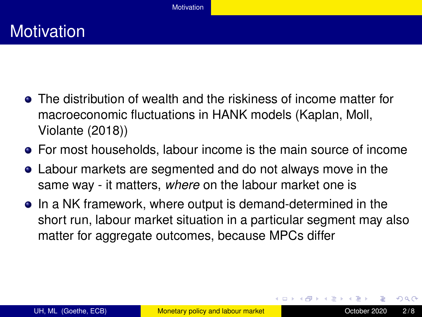# <span id="page-1-0"></span>**Motivation**

- The distribution of wealth and the riskiness of income matter for macroeconomic fluctuations in HANK models (Kaplan, Moll, Violante (2018))
- For most households, labour income is the main source of income
- Labour markets are segmented and do not always move in the same way - it matters, *where* on the labour market one is
- In a NK framework, where output is demand-determined in the short run, labour market situation in a particular segment may also matter for aggregate outcomes, because MPCs differ

 $\Omega$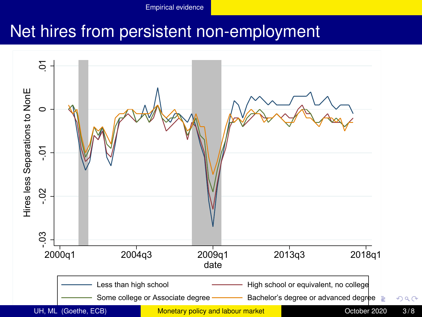## <span id="page-2-0"></span>Net hires from persistent non-employment

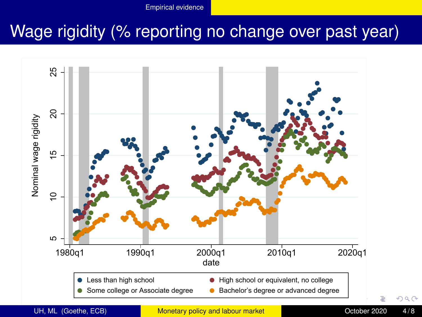# <span id="page-3-0"></span>Wage rigidity (% reporting no change over past year)



UH, ML (Goethe, ECB) [Monetary policy and labour market](#page-0-0) Correspondence October 2020 4/8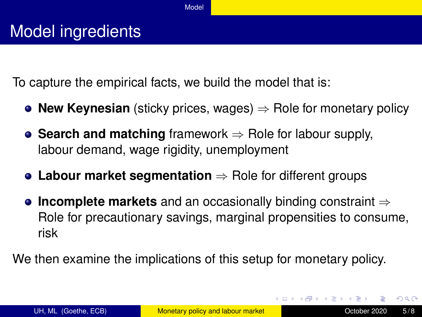<span id="page-4-0"></span>To capture the empirical facts, we build the model that is:

- **New Keynesian** (sticky prices, wages) ⇒ Role for monetary policy
- **Search and matching** framework ⇒ Role for labour supply, labour demand, wage rigidity, unemployment
- **Labour market segmentation** ⇒ Role for different groups
- **Incomplete markets** and an occasionally binding constraint ⇒ Role for precautionary savings, marginal propensities to consume, risk

We then examine the implications of this setup for monetary policy.

 $\Omega$ 

**K ロ ト K 伺 ト K ヨ ト K**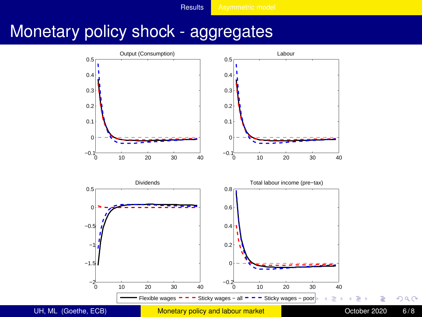## <span id="page-5-0"></span>Monetary policy shock - aggregates

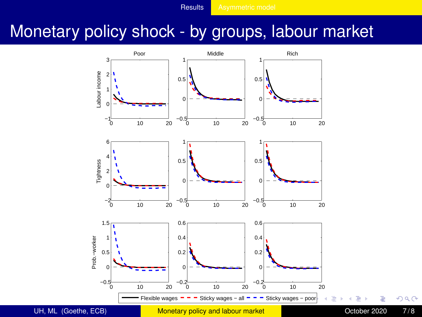# <span id="page-6-0"></span>Monetary policy shock - by groups, labour market



 $299$